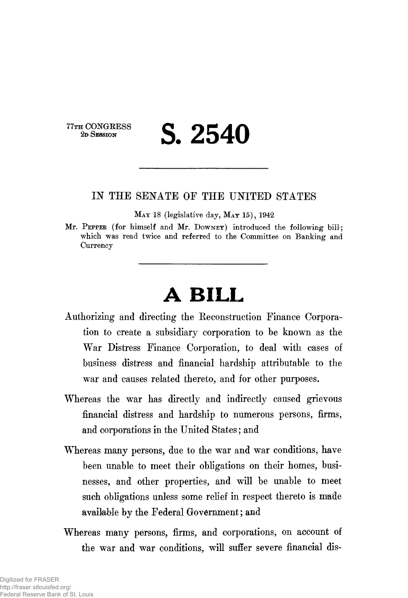77TH CONGRESS<br>2D SESSION

2D SESSION **S. 2540**

## IN THE SENATE OF THE UNITED STATES

MAY 18 (legislative day, MAY 15), 1942

Mr. PEPPER (for himself and Mr. DOWNEY) introduced the following bill; which was read twice and referred to the Committee on Banking and **Currency** 

## **A BILL**

- Authorizing and directing the Reconstruction Finance Corporation to create a subsidiary corporation to be known as the War Distress Finance Corporation, to deal with cases of business distress and financial hardship attributable to the war and causes related thereto, and for other purposes.
- Whereas the war has directly and indirectly caused grievous financial distress and hardship to numerous persons, firms, and corporations in the United States; and
- Whereas many persons, due to the war and war conditions, have been unable to meet their obligations on their homes, businesses, and other properties, and will be unable to meet such obligations unless some relief in respect thereto is made available by the Federal Government; and
- Whereas many persons, firms, and corporations, on account of the war and war conditions, will suffer severe financial dis-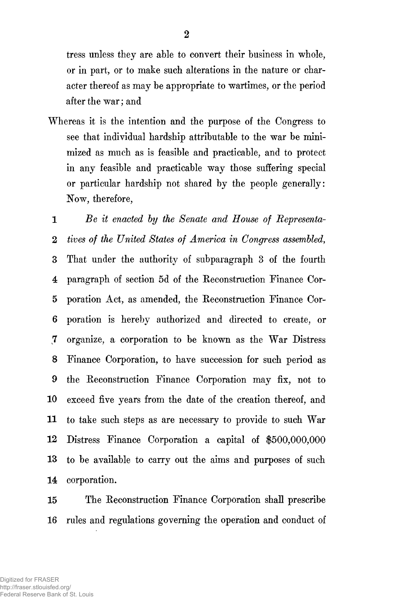tress unless they are able to convert their business in whole, or in part, or to make such alterations in the nature or character thereof as may be appropriate to wartimes, or the period after the war; and

Whereas it is the intention and the purpose of the Congress to see that individual hardship attributable to the war be minimized as much as is feasible and practicable, and to protect in any feasible and practicable way those suffering special or particular hardship not shared by the people generally: Now, therefore,

1 *Be it enacted by the Senate and House of Representa-*2 *tives of the United States of America in Congress assembled,* 3 That under the authority of subparagraph 3 of the fourth 4 paragraph of section 5d of the Eeconstruction Finance Cor-5 poration Act, as amended, the Eeconstruction Finance Cor-6 poration is hereby authorized and directed to create, or 7 organize, a corporation to be known as the War Distress 8 Finance Corporation, to have succession for such period as 9 the Eeconstruction Finance Corporation may fix, not to 10 exceed five years from the date of the creation thereof, and 11 to take such steps as are necessary to provide to such War 12 Distress Finance Corporation a capital of \$500,000,000 13 to be available to carry out the aims and purposes of such 14 corporation.

15 The Eeconstruction Finance Corporation shall prescribe 16 rules and regulations governing the operation and conduct of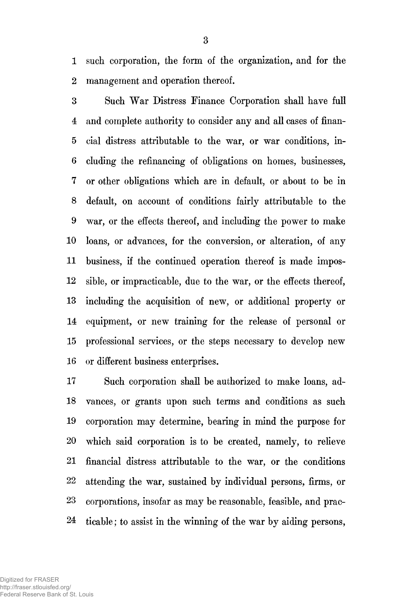1 such corporation, the form of the organization, and for the 2 management and operation thereof,

3 Such War Distress Finance Corporation shall have full 4 and complete authority to consider any and all cases of finan-5 cial distress attributable to the war, or war conditions, in-6 eluding the refinancing of obligations on homes, businesses, 7 or other obligations which are in default, or about to be in 8 default, on account of conditions fairly attributable to the 9 war, or the effects thereof, and including the power to make 10 loans, or advances, for the conversion, or alteration, of any 11 business, if the continued operation thereof is made impos-12 sible, or impracticable, due to the war, or the effects thereof, 13 including the acquisition of new, or additional property or 14 equipment, or new training for the release of personal or 15 professional services, or the steps necessary to develop new 16 or different business enterprises,

17 Such corporation shall be authorized to make loans, ad-18 vances, or grants upon such terms and conditions as such 19 corporation may determine, bearing in mind the purpose for 20 which said corporation is to be created, namely, to relieve 21 financial distress attributable to the war, or the conditions 22 attending the war, sustained by individual persons, firms, or 23 corporations, insofar as may be reasonable, feasible, and prac-24 ticable; to assist in the winning of the war by aiding persons,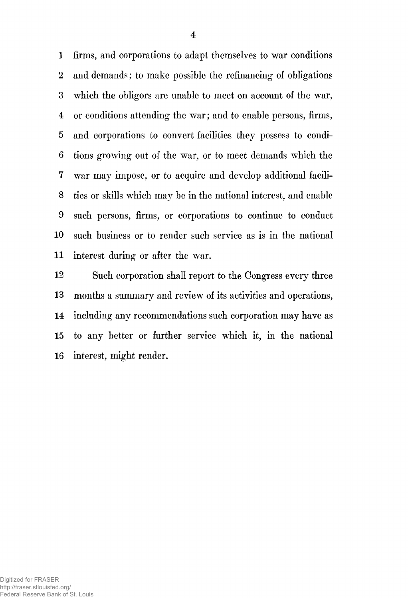1 firms, and corporations to adapt themselves to war conditions 2 and demands; to make possible the refinancing of obligations 3 which the obligors are unable to meet on account of the war, 4 or conditions attending the war; and to enable persons, firms, 5 and corporations to convert facilities they possess to condi-6 tions growing out of the war, or to meet demands which the 7 war may impose, or to acquire and develop additional facili-8 ties or skills which may be in the national interest, and enable 9 such persons, firms, or corporations to continue to conduct 10 such business or to render such service as is in the national 11 interest during or after the war.

12 Such corporation shall report to the Congress every three 13 months a summary and review of its activities and operations, 14 including any recommendations such corporation may have as 15 to any better or further service which it, in the national 16 interest, might render.